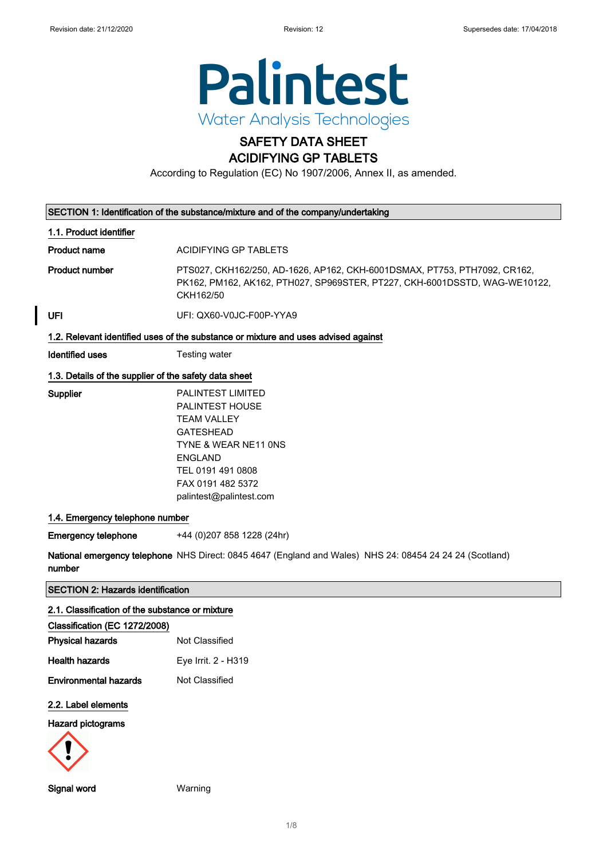

### SAFETY DATA SHEET ACIDIFYING GP TABLETS

According to Regulation (EC) No 1907/2006, Annex II, as amended.

| SECTION 1: Identification of the substance/mixture and of the company/undertaking  |                                                                                                                                                                                                             |  |
|------------------------------------------------------------------------------------|-------------------------------------------------------------------------------------------------------------------------------------------------------------------------------------------------------------|--|
| 1.1. Product identifier                                                            |                                                                                                                                                                                                             |  |
| <b>Product name</b>                                                                | ACIDIFYING GP TABLETS                                                                                                                                                                                       |  |
| <b>Product number</b>                                                              | PTS027, CKH162/250, AD-1626, AP162, CKH-6001DSMAX, PT753, PTH7092, CR162,<br>PK162, PM162, AK162, PTH027, SP969STER, PT227, CKH-6001DSSTD, WAG-WE10122,<br>CKH162/50                                        |  |
| UFI                                                                                | UFI: QX60-V0JC-F00P-YYA9                                                                                                                                                                                    |  |
| 1.2. Relevant identified uses of the substance or mixture and uses advised against |                                                                                                                                                                                                             |  |
| <b>Identified uses</b>                                                             | Testing water                                                                                                                                                                                               |  |
| 1.3. Details of the supplier of the safety data sheet                              |                                                                                                                                                                                                             |  |
| Supplier                                                                           | <b>PALINTEST LIMITED</b><br><b>PALINTEST HOUSE</b><br><b>TEAM VALLEY</b><br><b>GATESHEAD</b><br>TYNE & WEAR NE11 ONS<br><b>ENGLAND</b><br>TEL 0191 491 0808<br>FAX 0191 482 5372<br>palintest@palintest.com |  |
| 1.4. Emergency telephone number                                                    |                                                                                                                                                                                                             |  |
| <b>Emergency telephone</b>                                                         | +44 (0)207 858 1228 (24hr)                                                                                                                                                                                  |  |
| number                                                                             | National emergency telephone NHS Direct: 0845 4647 (England and Wales) NHS 24: 08454 24 24 24 (Scotland)                                                                                                    |  |
| <b>SECTION 2: Hazards identification</b>                                           |                                                                                                                                                                                                             |  |
| 2.1. Classification of the substance or mixture                                    |                                                                                                                                                                                                             |  |

| Classification (EC 1272/2008) |                     |
|-------------------------------|---------------------|
| <b>Physical hazards</b>       | Not Classified      |
| <b>Health hazards</b>         | Eye Irrit. 2 - H319 |
| Environmental hazards         | Not Classified      |
| 2.2. Label elements           |                     |
| Hazard pictograms             |                     |



Signal word Warning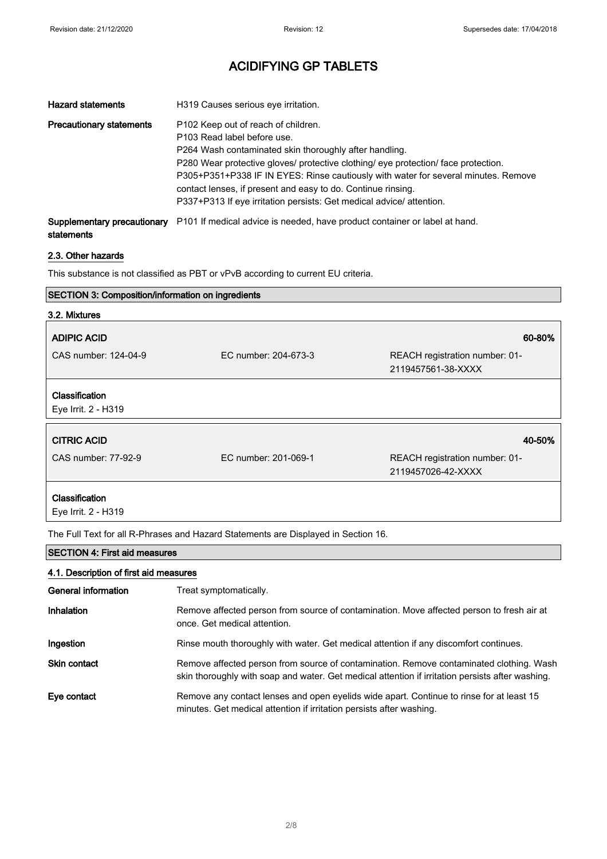| <b>Hazard statements</b>        | H319 Causes serious eye irritation.                                                                                                                                                                                                                                                                                                                                                                                                             |
|---------------------------------|-------------------------------------------------------------------------------------------------------------------------------------------------------------------------------------------------------------------------------------------------------------------------------------------------------------------------------------------------------------------------------------------------------------------------------------------------|
| <b>Precautionary statements</b> | P102 Keep out of reach of children.<br>P103 Read label before use.<br>P264 Wash contaminated skin thoroughly after handling.<br>P280 Wear protective gloves/ protective clothing/ eye protection/ face protection.<br>P305+P351+P338 IF IN EYES: Rinse cautiously with water for several minutes. Remove<br>contact lenses, if present and easy to do. Continue rinsing.<br>P337+P313 If eye irritation persists: Get medical advice/attention. |

Supplementary precautionary P101 If medical advice is needed, have product container or label at hand. statements

### 2.3. Other hazards

This substance is not classified as PBT or vPvB according to current EU criteria.

### SECTION 3: Composition/information on ingredients

| 3.2. Mixtures                         |                      |                                                      |
|---------------------------------------|----------------------|------------------------------------------------------|
| <b>ADIPIC ACID</b>                    |                      | 60-80%                                               |
| CAS number: 124-04-9                  | EC number: 204-673-3 | REACH registration number: 01-<br>2119457561-38-XXXX |
| Classification<br>Eye Irrit. 2 - H319 |                      |                                                      |
| <b>CITRIC ACID</b>                    |                      | 40-50%                                               |
| CAS number: 77-92-9                   | EC number: 201-069-1 | REACH registration number: 01-<br>2119457026-42-XXXX |
| Classification                        |                      |                                                      |

Eye Irrit. 2 - H319

The Full Text for all R-Phrases and Hazard Statements are Displayed in Section 16.

### SECTION 4: First aid measures

#### 4.1. Description of first aid measures

| General information | Treat symptomatically.                                                                                                                                                                      |
|---------------------|---------------------------------------------------------------------------------------------------------------------------------------------------------------------------------------------|
| Inhalation          | Remove affected person from source of contamination. Move affected person to fresh air at<br>once. Get medical attention.                                                                   |
| Ingestion           | Rinse mouth thoroughly with water. Get medical attention if any discomfort continues.                                                                                                       |
| <b>Skin contact</b> | Remove affected person from source of contamination. Remove contaminated clothing. Wash<br>skin thoroughly with soap and water. Get medical attention if irritation persists after washing. |
| Eye contact         | Remove any contact lenses and open eyelids wide apart. Continue to rinse for at least 15<br>minutes. Get medical attention if irritation persists after washing.                            |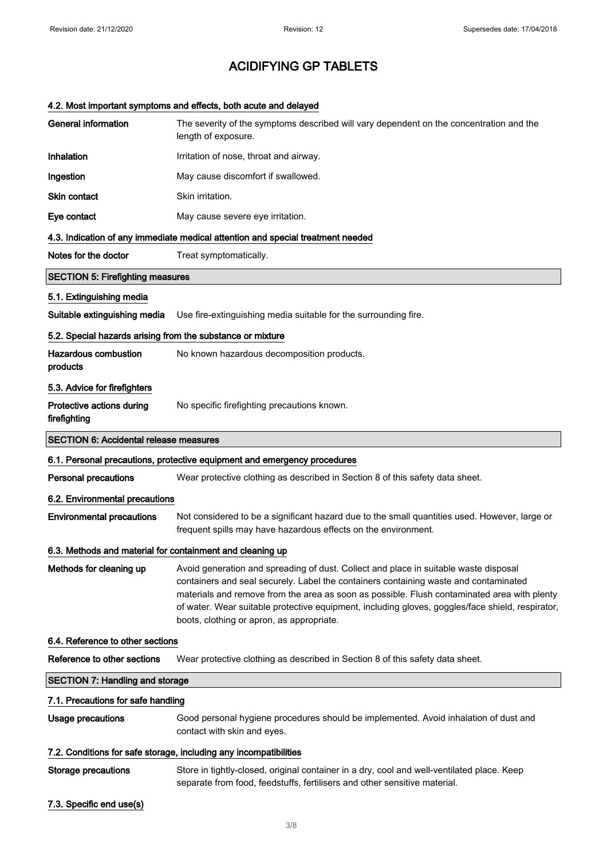### 4.2. Most important symptoms and effects, both acute and delayed

| <b>General information</b>                                        | The severity of the symptoms described will vary dependent on the concentration and the<br>length of exposure.                                                                                                                                                                                                                                                                                                               |  |
|-------------------------------------------------------------------|------------------------------------------------------------------------------------------------------------------------------------------------------------------------------------------------------------------------------------------------------------------------------------------------------------------------------------------------------------------------------------------------------------------------------|--|
| Inhalation                                                        | Irritation of nose, throat and airway.                                                                                                                                                                                                                                                                                                                                                                                       |  |
| Ingestion                                                         | May cause discomfort if swallowed.                                                                                                                                                                                                                                                                                                                                                                                           |  |
| Skin contact                                                      | Skin irritation.                                                                                                                                                                                                                                                                                                                                                                                                             |  |
| Eye contact                                                       | May cause severe eye irritation.                                                                                                                                                                                                                                                                                                                                                                                             |  |
|                                                                   | 4.3. Indication of any immediate medical attention and special treatment needed                                                                                                                                                                                                                                                                                                                                              |  |
| Notes for the doctor                                              | Treat symptomatically.                                                                                                                                                                                                                                                                                                                                                                                                       |  |
| <b>SECTION 5: Firefighting measures</b>                           |                                                                                                                                                                                                                                                                                                                                                                                                                              |  |
| 5.1. Extinguishing media                                          |                                                                                                                                                                                                                                                                                                                                                                                                                              |  |
| Suitable extinguishing media                                      | Use fire-extinguishing media suitable for the surrounding fire.                                                                                                                                                                                                                                                                                                                                                              |  |
| 5.2. Special hazards arising from the substance or mixture        |                                                                                                                                                                                                                                                                                                                                                                                                                              |  |
| <b>Hazardous combustion</b><br>products                           | No known hazardous decomposition products.                                                                                                                                                                                                                                                                                                                                                                                   |  |
| 5.3. Advice for firefighters                                      |                                                                                                                                                                                                                                                                                                                                                                                                                              |  |
| Protective actions during<br>firefighting                         | No specific firefighting precautions known.                                                                                                                                                                                                                                                                                                                                                                                  |  |
| <b>SECTION 6: Accidental release measures</b>                     |                                                                                                                                                                                                                                                                                                                                                                                                                              |  |
|                                                                   | 6.1. Personal precautions, protective equipment and emergency procedures                                                                                                                                                                                                                                                                                                                                                     |  |
| <b>Personal precautions</b>                                       | Wear protective clothing as described in Section 8 of this safety data sheet.                                                                                                                                                                                                                                                                                                                                                |  |
| 6.2. Environmental precautions                                    |                                                                                                                                                                                                                                                                                                                                                                                                                              |  |
| <b>Environmental precautions</b>                                  | Not considered to be a significant hazard due to the small quantities used. However, large or<br>frequent spills may have hazardous effects on the environment.                                                                                                                                                                                                                                                              |  |
| 6.3. Methods and material for containment and cleaning up         |                                                                                                                                                                                                                                                                                                                                                                                                                              |  |
| Methods for cleaning up                                           | Avoid generation and spreading of dust. Collect and place in suitable waste disposal<br>containers and seal securely. Label the containers containing waste and contaminated<br>materials and remove from the area as soon as possible. Flush contaminated area with plenty<br>of water. Wear suitable protective equipment, including gloves, goggles/face shield, respirator,<br>boots, clothing or apron, as appropriate. |  |
| 6.4. Reference to other sections                                  |                                                                                                                                                                                                                                                                                                                                                                                                                              |  |
| Reference to other sections                                       | Wear protective clothing as described in Section 8 of this safety data sheet.                                                                                                                                                                                                                                                                                                                                                |  |
| <b>SECTION 7: Handling and storage</b>                            |                                                                                                                                                                                                                                                                                                                                                                                                                              |  |
| 7.1. Precautions for safe handling                                |                                                                                                                                                                                                                                                                                                                                                                                                                              |  |
| Usage precautions                                                 | Good personal hygiene procedures should be implemented. Avoid inhalation of dust and<br>contact with skin and eyes.                                                                                                                                                                                                                                                                                                          |  |
| 7.2. Conditions for safe storage, including any incompatibilities |                                                                                                                                                                                                                                                                                                                                                                                                                              |  |
| Storage precautions                                               | Store in tightly-closed, original container in a dry, cool and well-ventilated place. Keep<br>separate from food, feedstuffs, fertilisers and other sensitive material.                                                                                                                                                                                                                                                      |  |
| 7.3. Specific end use(s)                                          |                                                                                                                                                                                                                                                                                                                                                                                                                              |  |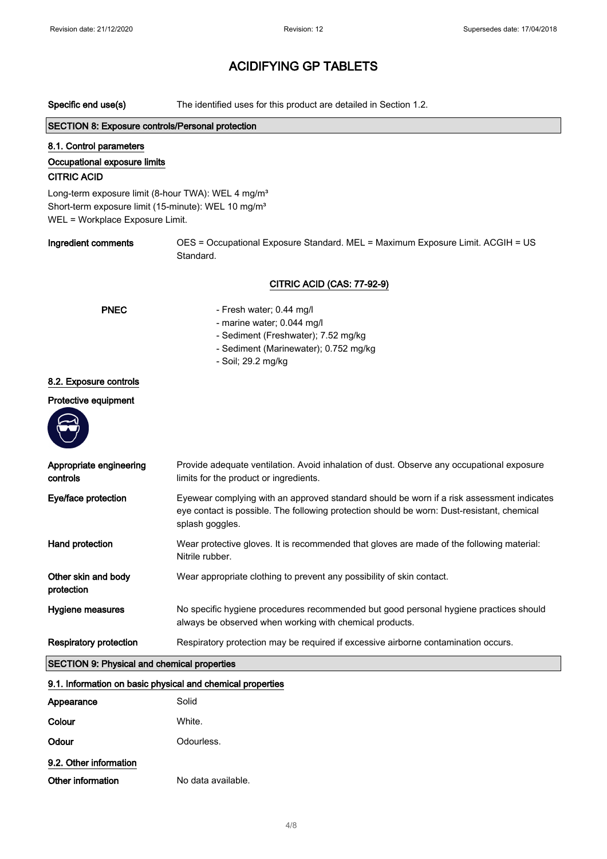| Specific end use(s)                                                                                                                                                  | The identified uses for this product are detailed in Section 1.2.                                                                                                                                          |  |
|----------------------------------------------------------------------------------------------------------------------------------------------------------------------|------------------------------------------------------------------------------------------------------------------------------------------------------------------------------------------------------------|--|
| <b>SECTION 8: Exposure controls/Personal protection</b>                                                                                                              |                                                                                                                                                                                                            |  |
| 8.1. Control parameters<br>Occupational exposure limits<br><b>CITRIC ACID</b>                                                                                        |                                                                                                                                                                                                            |  |
| Long-term exposure limit (8-hour TWA): WEL 4 mg/m <sup>3</sup><br>Short-term exposure limit (15-minute): WEL 10 mg/m <sup>3</sup><br>WEL = Workplace Exposure Limit. |                                                                                                                                                                                                            |  |
| Ingredient comments                                                                                                                                                  | OES = Occupational Exposure Standard. MEL = Maximum Exposure Limit. ACGIH = US<br>Standard.                                                                                                                |  |
|                                                                                                                                                                      | <b>CITRIC ACID (CAS: 77-92-9)</b>                                                                                                                                                                          |  |
| <b>PNEC</b>                                                                                                                                                          | - Fresh water; 0.44 mg/l<br>- marine water; 0.044 mg/l<br>- Sediment (Freshwater); 7.52 mg/kg<br>- Sediment (Marinewater); 0.752 mg/kg<br>- Soil; 29.2 mg/kg                                               |  |
| 8.2. Exposure controls                                                                                                                                               |                                                                                                                                                                                                            |  |
| Protective equipment                                                                                                                                                 |                                                                                                                                                                                                            |  |
| Appropriate engineering<br>controls                                                                                                                                  | Provide adequate ventilation. Avoid inhalation of dust. Observe any occupational exposure<br>limits for the product or ingredients.                                                                        |  |
| Eye/face protection                                                                                                                                                  | Eyewear complying with an approved standard should be worn if a risk assessment indicates<br>eye contact is possible. The following protection should be worn: Dust-resistant, chemical<br>splash goggles. |  |
| Hand protection                                                                                                                                                      | Wear protective gloves. It is recommended that gloves are made of the following material:<br>Nitrile rubber.                                                                                               |  |
| Other skin and body<br>protection                                                                                                                                    | Wear appropriate clothing to prevent any possibility of skin contact.                                                                                                                                      |  |
| Hygiene measures                                                                                                                                                     | No specific hygiene procedures recommended but good personal hygiene practices should<br>always be observed when working with chemical products.                                                           |  |
| <b>Respiratory protection</b>                                                                                                                                        | Respiratory protection may be required if excessive airborne contamination occurs.                                                                                                                         |  |
| <b>SECTION 9: Physical and chemical properties</b>                                                                                                                   |                                                                                                                                                                                                            |  |
| 9.1. Information on basic physical and chemical properties                                                                                                           |                                                                                                                                                                                                            |  |
| Appearance                                                                                                                                                           | Solid                                                                                                                                                                                                      |  |
| Colour                                                                                                                                                               | White.                                                                                                                                                                                                     |  |
| Odour                                                                                                                                                                | Odourless.                                                                                                                                                                                                 |  |
| 9.2. Other information                                                                                                                                               |                                                                                                                                                                                                            |  |
| Other information                                                                                                                                                    | No data available.                                                                                                                                                                                         |  |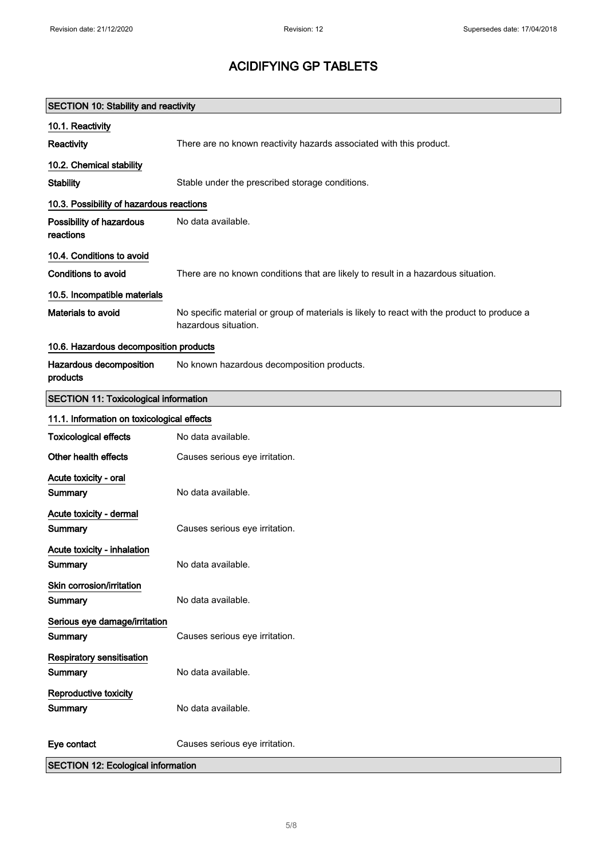| <b>SECTION 10: Stability and reactivity</b>  |                                                                                                                     |  |
|----------------------------------------------|---------------------------------------------------------------------------------------------------------------------|--|
| 10.1. Reactivity                             |                                                                                                                     |  |
| Reactivity                                   | There are no known reactivity hazards associated with this product.                                                 |  |
| 10.2. Chemical stability                     |                                                                                                                     |  |
| <b>Stability</b>                             | Stable under the prescribed storage conditions.                                                                     |  |
| 10.3. Possibility of hazardous reactions     |                                                                                                                     |  |
| Possibility of hazardous<br>reactions        | No data available.                                                                                                  |  |
| 10.4. Conditions to avoid                    |                                                                                                                     |  |
| <b>Conditions to avoid</b>                   | There are no known conditions that are likely to result in a hazardous situation.                                   |  |
| 10.5. Incompatible materials                 |                                                                                                                     |  |
| Materials to avoid                           | No specific material or group of materials is likely to react with the product to produce a<br>hazardous situation. |  |
| 10.6. Hazardous decomposition products       |                                                                                                                     |  |
| Hazardous decomposition<br>products          | No known hazardous decomposition products.                                                                          |  |
| <b>SECTION 11: Toxicological information</b> |                                                                                                                     |  |
| 11.1. Information on toxicological effects   |                                                                                                                     |  |
| <b>Toxicological effects</b>                 | No data available.                                                                                                  |  |
| Other health effects                         | Causes serious eye irritation.                                                                                      |  |
| Acute toxicity - oral<br>Summary             | No data available.                                                                                                  |  |
| Acute toxicity - dermal<br>Summary           | Causes serious eye irritation.                                                                                      |  |
| Acute toxicity - inhalation<br>Summary       | No data available.                                                                                                  |  |
| Skin corrosion/irritation<br>Summary         | No data available.                                                                                                  |  |
| Serious eye damage/irritation<br>Summary     | Causes serious eye irritation.                                                                                      |  |
| Respiratory sensitisation<br>Summary         | No data available.                                                                                                  |  |
| Reproductive toxicity<br>Summary             | No data available.                                                                                                  |  |
| Eye contact                                  | Causes serious eye irritation.                                                                                      |  |
| <b>SECTION 12: Ecological information</b>    |                                                                                                                     |  |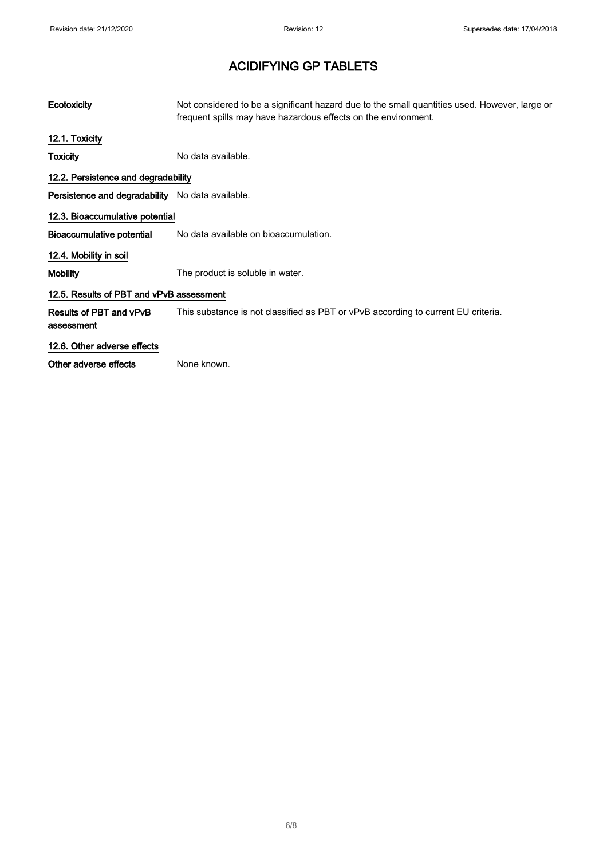| Ecotoxicity                                      | Not considered to be a significant hazard due to the small quantities used. However, large or<br>frequent spills may have hazardous effects on the environment. |  |
|--------------------------------------------------|-----------------------------------------------------------------------------------------------------------------------------------------------------------------|--|
| 12.1. Toxicity                                   |                                                                                                                                                                 |  |
| Toxicity                                         | No data available.                                                                                                                                              |  |
| 12.2. Persistence and degradability              |                                                                                                                                                                 |  |
| Persistence and degradability No data available. |                                                                                                                                                                 |  |
| 12.3. Bioaccumulative potential                  |                                                                                                                                                                 |  |
| <b>Bioaccumulative potential</b>                 | No data available on bioaccumulation.                                                                                                                           |  |
| 12.4. Mobility in soil                           |                                                                                                                                                                 |  |
| <b>Mobility</b>                                  | The product is soluble in water.                                                                                                                                |  |
| 12.5. Results of PBT and vPvB assessment         |                                                                                                                                                                 |  |
| Results of PBT and vPvB<br>assessment            | This substance is not classified as PBT or vPvB according to current EU criteria.                                                                               |  |
| 12.6. Other adverse effects                      |                                                                                                                                                                 |  |
| Other adverse effects                            | None known.                                                                                                                                                     |  |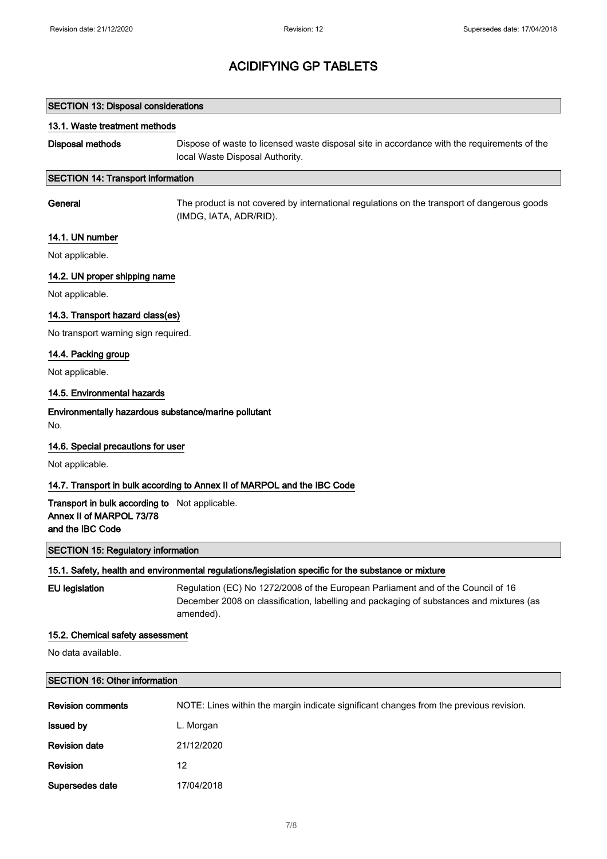| <b>SECTION 13: Disposal considerations</b>                                                           |                                                                                                                                                                                          |  |
|------------------------------------------------------------------------------------------------------|------------------------------------------------------------------------------------------------------------------------------------------------------------------------------------------|--|
| 13.1. Waste treatment methods                                                                        |                                                                                                                                                                                          |  |
| <b>Disposal methods</b>                                                                              | Dispose of waste to licensed waste disposal site in accordance with the requirements of the<br>local Waste Disposal Authority.                                                           |  |
| <b>SECTION 14: Transport information</b>                                                             |                                                                                                                                                                                          |  |
| General                                                                                              | The product is not covered by international regulations on the transport of dangerous goods<br>(IMDG, IATA, ADR/RID).                                                                    |  |
| 14.1. UN number                                                                                      |                                                                                                                                                                                          |  |
| Not applicable.                                                                                      |                                                                                                                                                                                          |  |
| 14.2. UN proper shipping name                                                                        |                                                                                                                                                                                          |  |
| Not applicable.                                                                                      |                                                                                                                                                                                          |  |
| 14.3. Transport hazard class(es)                                                                     |                                                                                                                                                                                          |  |
| No transport warning sign required.                                                                  |                                                                                                                                                                                          |  |
| 14.4. Packing group                                                                                  |                                                                                                                                                                                          |  |
| Not applicable.                                                                                      |                                                                                                                                                                                          |  |
| 14.5. Environmental hazards                                                                          |                                                                                                                                                                                          |  |
| Environmentally hazardous substance/marine pollutant<br>No.                                          |                                                                                                                                                                                          |  |
| 14.6. Special precautions for user                                                                   |                                                                                                                                                                                          |  |
| Not applicable.                                                                                      |                                                                                                                                                                                          |  |
|                                                                                                      | 14.7. Transport in bulk according to Annex II of MARPOL and the IBC Code                                                                                                                 |  |
| Transport in bulk according to Not applicable.<br>Annex II of MARPOL 73/78<br>and the IBC Code       |                                                                                                                                                                                          |  |
| <b>SECTION 15: Regulatory information</b>                                                            |                                                                                                                                                                                          |  |
| 15.1. Safety, health and environmental regulations/legislation specific for the substance or mixture |                                                                                                                                                                                          |  |
| <b>EU</b> legislation                                                                                | Regulation (EC) No 1272/2008 of the European Parliament and of the Council of 16<br>December 2008 on classification, labelling and packaging of substances and mixtures (as<br>amended). |  |
| 15.2. Chemical safety assessment                                                                     |                                                                                                                                                                                          |  |
| No data available.                                                                                   |                                                                                                                                                                                          |  |
| <b>SECTION 16: Other information</b>                                                                 |                                                                                                                                                                                          |  |
| <b>Revision comments</b>                                                                             | NOTE: Lines within the margin indicate significant changes from the previous revision.                                                                                                   |  |
| <b>Issued by</b>                                                                                     | L. Morgan                                                                                                                                                                                |  |

| Revision        | 12         |
|-----------------|------------|
| Supersedes date | 17/04/2018 |

Revision date 21/12/2020